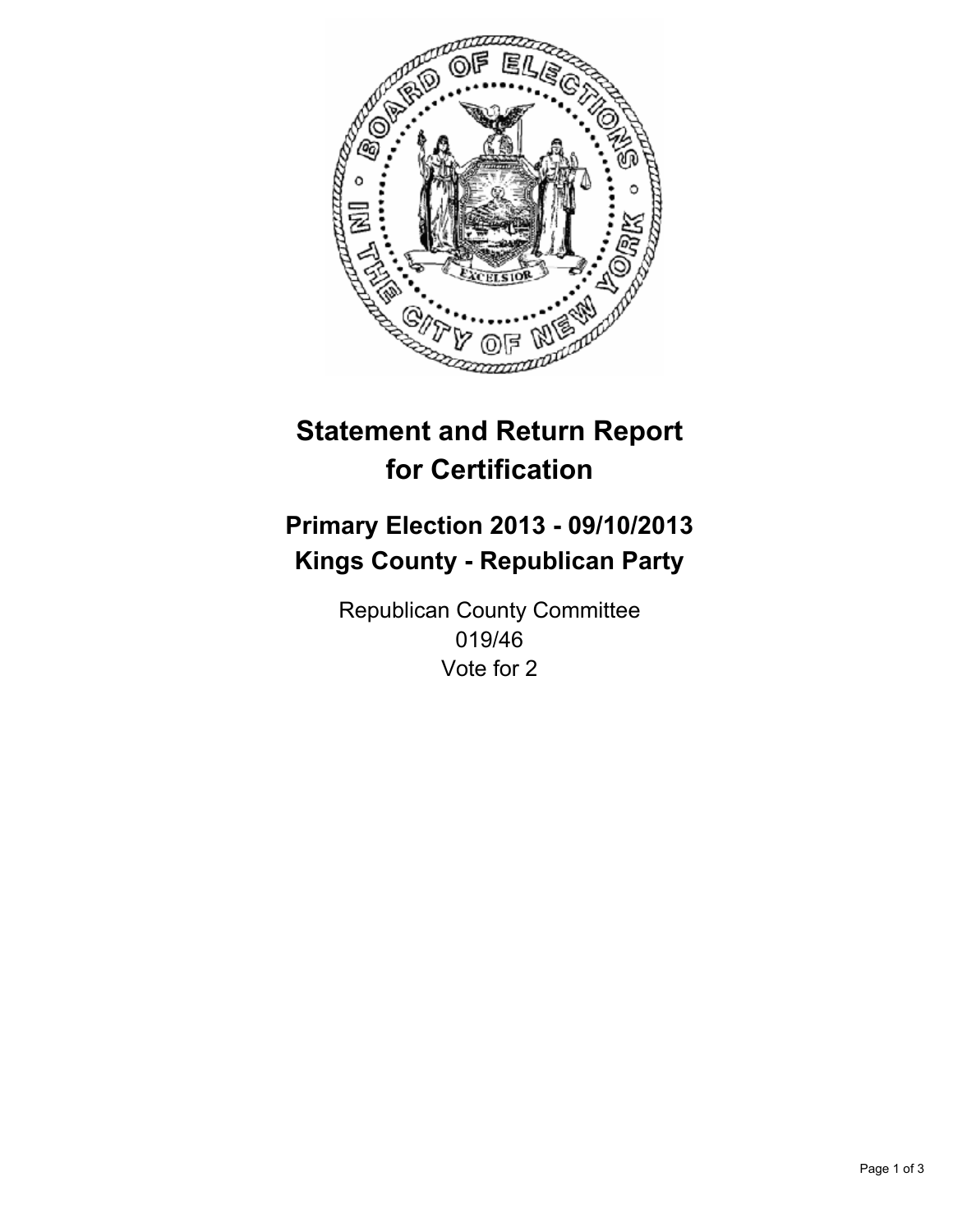

# **Statement and Return Report for Certification**

## **Primary Election 2013 - 09/10/2013 Kings County - Republican Party**

Republican County Committee 019/46 Vote for 2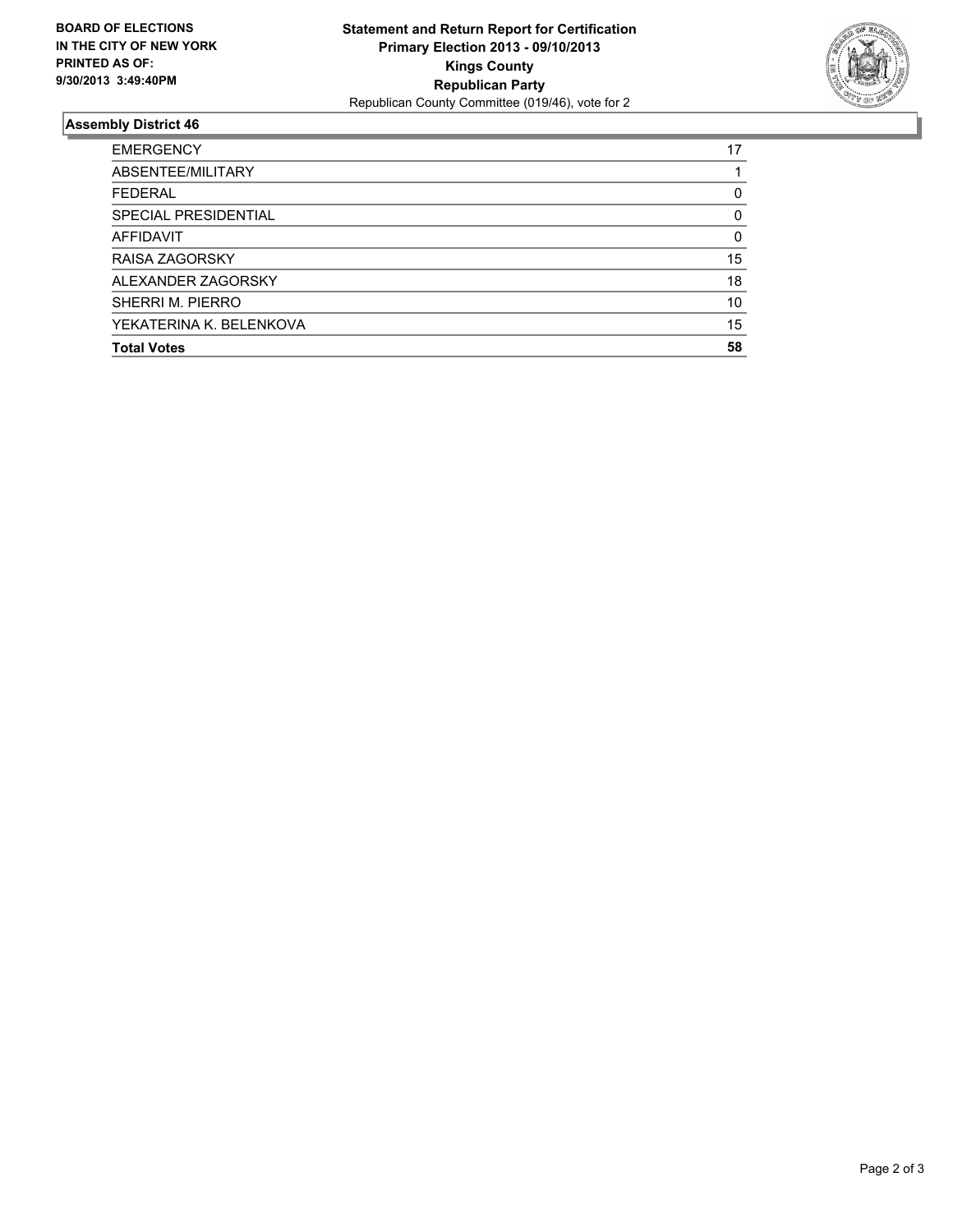

### **Assembly District 46**

| <b>EMERGENCY</b>        | 17 |
|-------------------------|----|
| ABSENTEE/MILITARY       |    |
| <b>FEDERAL</b>          | 0  |
| SPECIAL PRESIDENTIAL    | 0  |
| AFFIDAVIT               | 0  |
| <b>RAISA ZAGORSKY</b>   | 15 |
| ALEXANDER ZAGORSKY      | 18 |
| SHERRI M. PIERRO        | 10 |
| YEKATERINA K. BELENKOVA | 15 |
| <b>Total Votes</b>      | 58 |